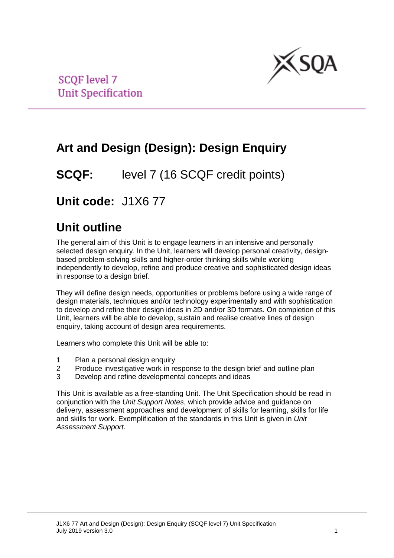

**SCOF level 7 Unit Specification** 

# **Art and Design (Design): Design Enquiry**

**SCQF:** level 7 (16 SCQF credit points)

## **Unit code:** J1X6 77

## **Unit outline**

The general aim of this Unit is to engage learners in an intensive and personally selected design enquiry. In the Unit, learners will develop personal creativity, designbased problem-solving skills and higher-order thinking skills while working independently to develop, refine and produce creative and sophisticated design ideas in response to a design brief.

They will define design needs, opportunities or problems before using a wide range of design materials, techniques and/or technology experimentally and with sophistication to develop and refine their design ideas in 2D and/or 3D formats. On completion of this Unit, learners will be able to develop, sustain and realise creative lines of design enquiry, taking account of design area requirements.

Learners who complete this Unit will be able to:

- 1 Plan a personal design enquiry<br>2 Produce investigative work in re
- 2 Produce investigative work in response to the design brief and outline plan<br>3 Develop and refine developmental concepts and ideas
- Develop and refine developmental concepts and ideas

This Unit is available as a free-standing Unit. The Unit Specification should be read in conjunction with the *Unit Support Notes*, which provide advice and guidance on delivery, assessment approaches and development of skills for learning, skills for life and skills for work. Exemplification of the standards in this Unit is given in *Unit Assessment Support*.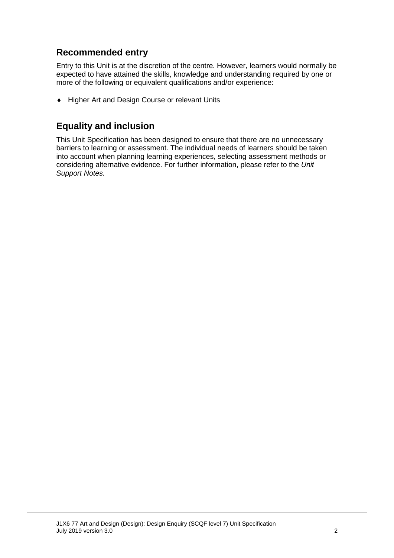### **Recommended entry**

Entry to this Unit is at the discretion of the centre. However, learners would normally be expected to have attained the skills, knowledge and understanding required by one or more of the following or equivalent qualifications and/or experience:

♦ Higher Art and Design Course or relevant Units

### **Equality and inclusion**

This Unit Specification has been designed to ensure that there are no unnecessary barriers to learning or assessment. The individual needs of learners should be taken into account when planning learning experiences, selecting assessment methods or considering alternative evidence. For further information, please refer to the *Unit Support Notes.*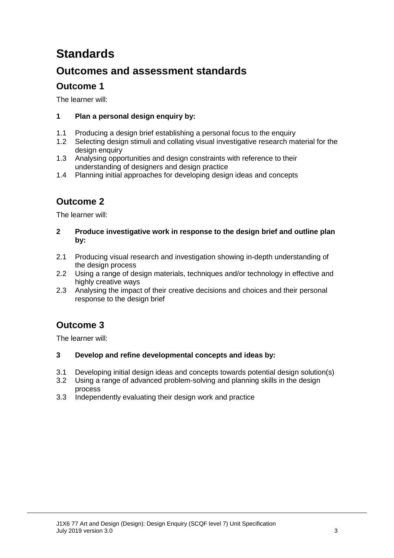# **Standards**

## **Outcomes and assessment standards**

### **Outcome 1**

The learner will:

#### **1 Plan a personal design enquiry by:**

- 1.1 Producing a design brief establishing a personal focus to the enquiry
- 1.2 Selecting design stimuli and collating visual investigative research material for the design enquiry
- 1.3 Analysing opportunities and design constraints with reference to their understanding of designers and design practice
- 1.4 Planning initial approaches for developing design ideas and concepts

## **Outcome 2**

The learner will:

- **2 Produce investigative work in response to the design brief and outline plan by:**
- 2.1 Producing visual research and investigation showing in-depth understanding of the design process
- 2.2 Using a range of design materials, techniques and/or technology in effective and highly creative ways
- 2.3 Analysing the impact of their creative decisions and choices and their personal response to the design brief

### **Outcome 3**

The learner will:

#### **3 Develop and refine developmental concepts and ideas by:**

- 3.1 Developing initial design ideas and concepts towards potential design solution(s)
- 3.2 Using a range of advanced problem-solving and planning skills in the design process
- 3.3 Independently evaluating their design work and practice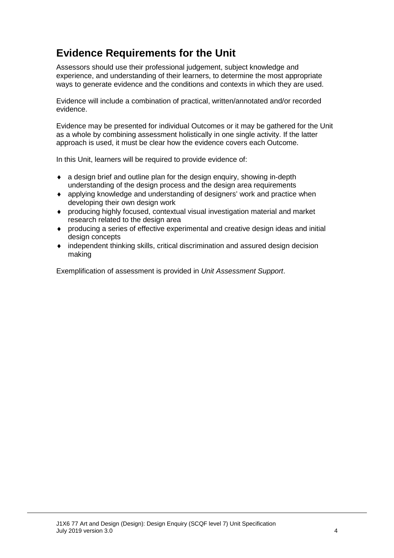## **Evidence Requirements for the Unit**

Assessors should use their professional judgement, subject knowledge and experience, and understanding of their learners, to determine the most appropriate ways to generate evidence and the conditions and contexts in which they are used.

Evidence will include a combination of practical, written/annotated and/or recorded evidence.

Evidence may be presented for individual Outcomes or it may be gathered for the Unit as a whole by combining assessment holistically in one single activity. If the latter approach is used, it must be clear how the evidence covers each Outcome.

In this Unit, learners will be required to provide evidence of:

- ♦ a design brief and outline plan for the design enquiry, showing in-depth understanding of the design process and the design area requirements
- ♦ applying knowledge and understanding of designers' work and practice when developing their own design work
- ♦ producing highly focused, contextual visual investigation material and market research related to the design area
- ♦ producing a series of effective experimental and creative design ideas and initial design concepts
- ♦ independent thinking skills, critical discrimination and assured design decision making

Exemplification of assessment is provided in *Unit Assessment Support*.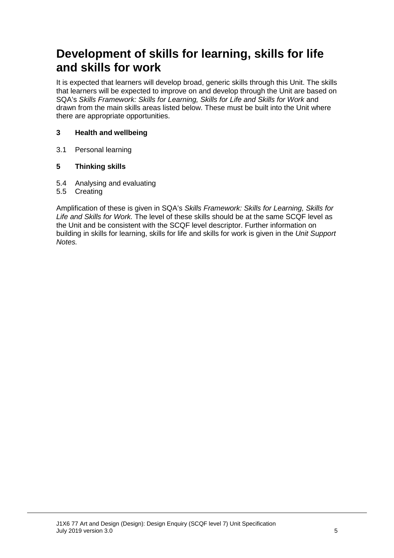## **Development of skills for learning, skills for life and skills for work**

It is expected that learners will develop broad, generic skills through this Unit. The skills that learners will be expected to improve on and develop through the Unit are based on SQA's *Skills Framework: Skills for Learning, Skills for Life and Skills for Work* and drawn from the main skills areas listed below. These must be built into the Unit where there are appropriate opportunities.

#### **3 Health and wellbeing**

3.1 Personal learning

#### **5 Thinking skills**

- 5.4 Analysing and evaluating
- 5.5 Creating

Amplification of these is given in SQA's *Skills Framework: Skills for Learning, Skills for Life and Skills for Work.* The level of these skills should be at the same SCQF level as the Unit and be consistent with the SCQF level descriptor. Further information on building in skills for learning, skills for life and skills for work is given in the *Unit Support Notes.*